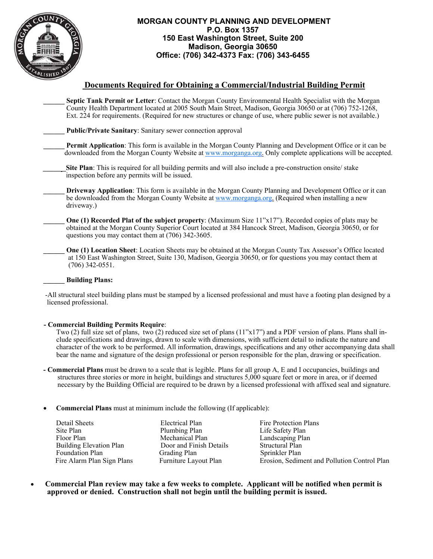

#### **MORGAN COUNTY PLANNING AND DEVELOPMENT P.O. Box 1357 150 East Washington Street, Suite 200 Madison, Georgia 30650 Office: (706) 342-4373 Fax: (706) 343-6455**

## **Documents Required for Obtaining a Commercial/Industrial Building Permit**

**\_\_\_\_\_\_ Septic Tank Permit or Letter**: Contact the Morgan County Environmental Health Specialist with the Morgan County Health Department located at 2005 South Main Street, Madison, Georgia 30650 or at (706) 752-1268, Ext. 224 for requirements. (Required for new structures or change of use, where public sewer is not available.)

**\_\_\_\_\_\_ Public/Private Sanitary**: Sanitary sewer connection approval

**\_\_\_\_\_\_ Permit Application**: This form is available in the Morgan County Planning and Development Office or it can be downloaded from the Morgan County Website at www.morganga.org. Only complete applications will be accepted.

**Site Plan**: This is required for all building permits and will also include a pre-construction onsite/ stake inspection before any permits will be issued.

**\_\_\_\_\_\_ Driveway Application**: This form is available in the Morgan County Planning and Development Office or it can be downloaded from the Morgan County Website at www.morganga.org. (Required when installing a new driveway.)

**One (1) Recorded Plat of the subject property**: (Maximum Size 11"x17"). Recorded copies of plats may be obtained at the Morgan County Superior Court located at 384 Hancock Street, Madison, Georgia 30650, or for questions you may contact them at (706) 342-3605.

**One (1) Location Sheet:** Location Sheets may be obtained at the Morgan County Tax Assessor's Office located at 150 East Washington Street, Suite 130, Madison, Georgia 30650, or for questions you may contact them at (706) 342-0551.

#### **\_\_\_\_\_\_ Building Plans:**

 -All structural steel building plans must be stamped by a licensed professional and must have a footing plan designed by a licensed professional.

#### **- Commercial Building Permits Require**:

 Two (2) full size set of plans, two (2) reduced size set of plans (11"x17") and a PDF version of plans. Plans shall in clude specifications and drawings, drawn to scale with dimensions, with sufficient detail to indicate the nature and character of the work to be performed. All information, drawings, specifications and any other accompanying data shall bear the name and signature of the design professional or person responsible for the plan, drawing or specification.

- **Commercial Plans** must be drawn to a scale that is legible. Plans for all group A, E and I occupancies, buildings and structures three stories or more in height, buildings and structures 5,000 square feet or more in area, or if deemed necessary by the Building Official are required to be drawn by a licensed professional with affixed seal and signature.
- **Commercial Plans** must at minimum include the following (If applicable):

 Detail Sheets Electrical Plan Fire Protection Plans Site Plan Plumbing Plan Life Safety Plan Floor Plan Mechanical Plan Landscaping Plan<br>
Building Elevation Plan Door and Finish Details Structural Plan Building Elevation Plan Door and Finish Details Foundation Plan Grading Plan Sprinkler Plan

Fire Alarm Plan Sign Plans Furniture Layout Plan Erosion, Sediment and Pollution Control Plan

 **Commercial Plan review may take a few weeks to complete. Applicant will be notified when permit is approved or denied. Construction shall not begin until the building permit is issued.**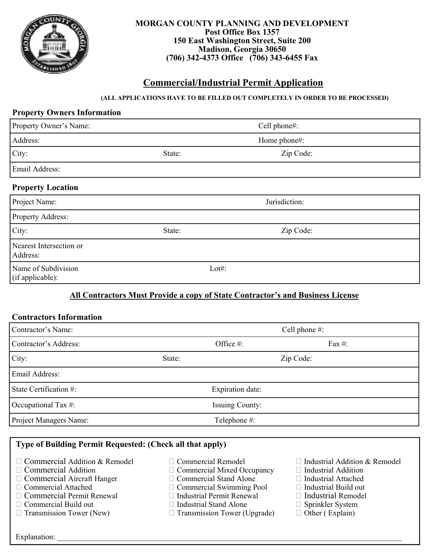

#### **MORGAN COUNTY PLANNING AND DEVELOPMENT Post Office Box 1357 150 East Washington Street, Suite 200 Madison, Georgia 30650 (706) 342-4373 Office (706) 343-6455 Fax**

# **Commercial/Industrial Permit Application**

### **(ALL APPLICATIONS HAVE TO BE FILLED OUT COMPLETELY IN ORDER TO BE PROCESSED)**

## **Property Owners Information**

| Property Owner's Name:                  | Cell phone#: |               |  |
|-----------------------------------------|--------------|---------------|--|
| Address:                                |              | Home phone#:  |  |
| City:                                   | State:       | Zip Code:     |  |
| Email Address:                          |              |               |  |
| <b>Property Location</b>                |              |               |  |
| Project Name:                           |              | Jurisdiction: |  |
| <b>Property Address:</b>                |              |               |  |
| City:                                   | State:       | Zip Code:     |  |
| Nearest Intersection or<br>Address:     |              |               |  |
| Name of Subdivision<br>(if applicable): | Lot#:        |               |  |

# **All Contractors Must Provide a copy of State Contractor's and Business License**

### **Contractors Information**

| Contractor's Name:     |                        | Cell phone #: |           |           |
|------------------------|------------------------|---------------|-----------|-----------|
| Contractor's Address:  |                        | Office #:     |           | Fax $#$ : |
| City:                  | State:                 |               | Zip Code: |           |
| Email Address:         |                        |               |           |           |
| State Certification #: | Expiration date:       |               |           |           |
| Occupational Tax #:    | <b>Issuing County:</b> |               |           |           |
| Project Managers Name: | Telephone #:           |               |           |           |

# **Type of Building Permit Requested: (Check all that apply)**

- $\Box$  Commercial Addition & Remodel  $\Box$  Commercial Remodel  $\Box$  Industrial Addition & Remodel  $\Box$  Commercial Mixed Occupancy  $\Box$  Industrial Addition
- 
- $\Box$  Commercial Aircraft Hanger
- 
- $\Box$  Commercial Permit Renewal  $\Box$  Industrial Permit Renewal  $\Box$  Industrial Remodel  $\Box$  Commercial Build out  $\Box$  Industrial Stand Alone  $\Box$  Sprinkler System
- 
- 
- 
- $\Box$  Commercial Mixed Occupancy  $\Box$  Industrial Addition  $\Box$  Commercial Stand Alone  $\Box$  Industrial Attached
- 
- Commercial Attached Commercial Swimming Pool Industrial Build out
	-
	-
- $\Box$  Commercial Build out  $\Box$  Industrial Stand Alone  $\Box$  Sprinkler System  $\Box$  Transmission Tower (Upgrade)  $\Box$  Other (Explain)  $\Box$  Transmission Tower (Upgrade)
- 
- 
- 
- 
- 
- -

 $\text{Explanation:}$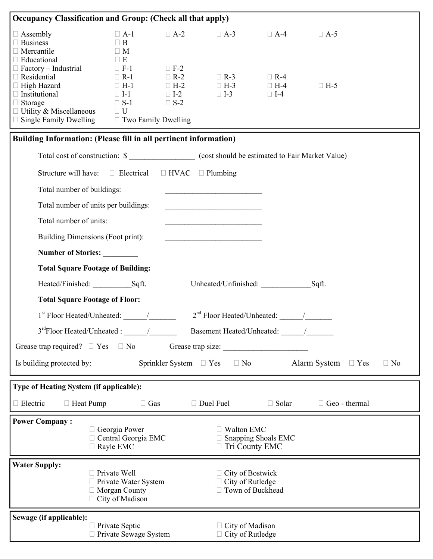| Occupancy Classification and Group: (Check all that apply)                     |                                                  |            |                                                                                                                       |                            |                                                |           |
|--------------------------------------------------------------------------------|--------------------------------------------------|------------|-----------------------------------------------------------------------------------------------------------------------|----------------------------|------------------------------------------------|-----------|
| $\Box$ Assembly                                                                | $\Box$ A-1                                       | $\Box$ A-2 | $\Box$ A-3                                                                                                            | $\Box$ A-4                 | $\Box$ A-5                                     |           |
| $\Box$ Business                                                                | $\Box$ B                                         |            |                                                                                                                       |                            |                                                |           |
| $\Box$ Mercantile                                                              | $\Box$ M                                         |            |                                                                                                                       |                            |                                                |           |
| $\Box$ Educational<br>$\Box$ Factory – Industrial                              | $\Box$ E<br>$\Box$ F-1                           | $\Box$ F-2 |                                                                                                                       |                            |                                                |           |
| $\Box$ Residential                                                             | $\Box$ R-1                                       | $\Box$ R-2 | $\Box$ R-3                                                                                                            | $\Box$ R-4                 |                                                |           |
| $\Box$ High Hazard                                                             | $\Box$ H-1                                       | $\Box$ H-2 | $\Box$ H-3                                                                                                            | $\Box$ H-4                 | $\Box$ H-5                                     |           |
| $\Box$ Institutional                                                           | $\Box$ I-1                                       | $\Box$ I-2 | $\Box$ I-3                                                                                                            | $\Box$ I-4                 |                                                |           |
| $\Box$ Storage                                                                 | $\Box$ S-1                                       | $\Box$ S-2 |                                                                                                                       |                            |                                                |           |
| $\Box$ Utility & Miscellaneous                                                 | $\Box$ U                                         |            |                                                                                                                       |                            |                                                |           |
| $\Box$ Single Family Dwelling $\Box$ Two Family Dwelling                       |                                                  |            |                                                                                                                       |                            |                                                |           |
| Building Information: (Please fill in all pertinent information)               |                                                  |            |                                                                                                                       |                            |                                                |           |
| Total cost of construction: \$ (cost should be estimated to Fair Market Value) |                                                  |            |                                                                                                                       |                            |                                                |           |
| Structure will have: $\square$ Electrical $\square$ HVAC $\square$ Plumbing    |                                                  |            |                                                                                                                       |                            |                                                |           |
| Total number of buildings:                                                     |                                                  |            |                                                                                                                       |                            |                                                |           |
| Total number of units per buildings:                                           |                                                  |            | <u> 1980 - Johann Barbara, martin amerikan basar dan berasal dalam basar dalam basar dalam basar dalam basar dala</u> |                            |                                                |           |
| Total number of units:                                                         |                                                  |            | <u> 1980 - Johann Barbara, martxa alemaniar amerikan a</u>                                                            |                            |                                                |           |
| Building Dimensions (Foot print):                                              |                                                  |            | <u> 1980 - Jan Barat, prima politik (</u>                                                                             |                            |                                                |           |
| Number of Stories:                                                             |                                                  |            |                                                                                                                       |                            |                                                |           |
| <b>Total Square Footage of Building:</b>                                       |                                                  |            |                                                                                                                       |                            |                                                |           |
| Heated/Finished: Sqft.                                                         |                                                  |            | Unheated/Unfinished:                                                                                                  |                            | Sqft.                                          |           |
| <b>Total Square Footage of Floor:</b>                                          |                                                  |            |                                                                                                                       |                            |                                                |           |
|                                                                                |                                                  |            | $2nd$ Floor Heated/Unheated: $\qquad$                                                                                 |                            |                                                |           |
| $3rd Floor Heated/Unheated:$ /                                                 |                                                  |            | Basement Heated/Unheated: /                                                                                           |                            |                                                |           |
| Grease trap size:<br>Grease trap required? $\square$ Yes $\square$ No          |                                                  |            |                                                                                                                       |                            |                                                |           |
| Is building protected by:                                                      |                                                  |            |                                                                                                                       |                            | Sprinkler System □ Yes □ No Alarm System □ Yes | $\Box$ No |
| Type of Heating System (if applicable):                                        |                                                  |            |                                                                                                                       |                            |                                                |           |
| $\Box$ Electric<br>$\Box$ Heat Pump                                            | $\Box$ Gas                                       |            | $\Box$ Duel Fuel                                                                                                      | $\Box$ Solar               | $\Box$ Geo - thermal                           |           |
| <b>Power Company:</b>                                                          |                                                  |            |                                                                                                                       |                            |                                                |           |
|                                                                                | $\Box$ Georgia Power                             |            | $\Box$ Walton EMC                                                                                                     |                            |                                                |           |
|                                                                                | $\Box$ Central Georgia EMC<br>$\Box$ Rayle EMC   |            | □ Tri County EMC                                                                                                      | $\Box$ Snapping Shoals EMC |                                                |           |
|                                                                                |                                                  |            |                                                                                                                       |                            |                                                |           |
| <b>Water Supply:</b>                                                           |                                                  |            |                                                                                                                       |                            |                                                |           |
|                                                                                | $\Box$ Private Well                              |            | $\Box$ City of Bostwick                                                                                               |                            |                                                |           |
| $\Box$ City of Rutledge<br>$\Box$ Private Water System<br>□ Town of Buckhead   |                                                  |            |                                                                                                                       |                            |                                                |           |
|                                                                                |                                                  |            |                                                                                                                       |                            |                                                |           |
|                                                                                | $\Box$ Morgan County<br>$\Box$ City of Madison   |            |                                                                                                                       |                            |                                                |           |
|                                                                                |                                                  |            |                                                                                                                       |                            |                                                |           |
| Sewage (if applicable):                                                        | $\Box$ Private Septic<br>□ Private Sewage System |            | $\Box$ City of Madison<br>$\Box$ City of Rutledge                                                                     |                            |                                                |           |